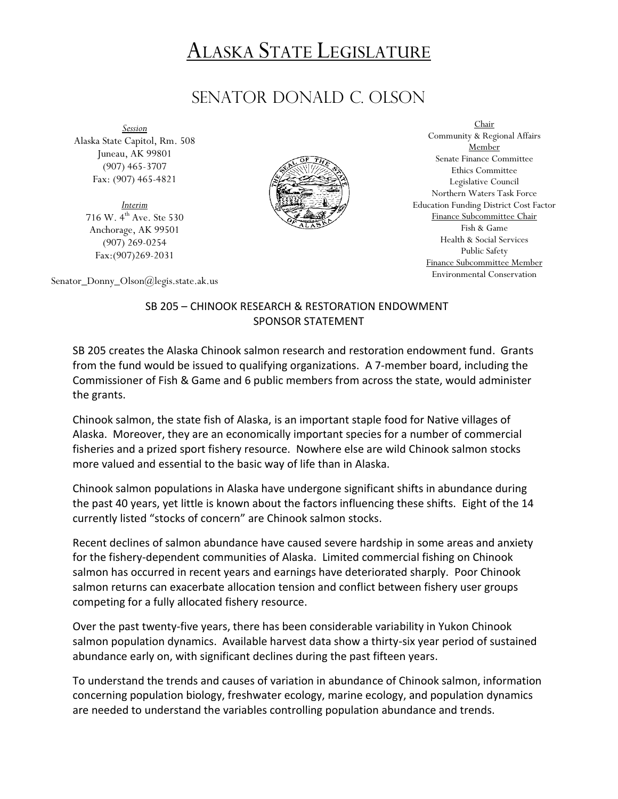## ALASKA STATE LEGISLATURE

## SENATOR DONALD C. olson

*Session* Alaska State Capitol, Rm. 508 Juneau, AK 99801 (907) 465-3707 Fax: (907) 465-4821

*Interim* 716 W. 4<sup>th</sup> Ave. Ste 530 Anchorage, AK 99501 (907) 269-0254 Fax:(907)269-2031



Chair Community & Regional Affairs Member Senate Finance Committee Ethics Committee Legislative Council Northern Waters Task Force Education Funding District Cost Factor Finance Subcommittee Chair Fish & Game Health & Social Services Public Safety Finance Subcommittee Member Environmental Conservation

Senator\_Donny\_Olson@legis.state.ak.us

## SB 205 – CHINOOK RESEARCH & RESTORATION ENDOWMENT SPONSOR STATEMENT

SB 205 creates the Alaska Chinook salmon research and restoration endowment fund. Grants from the fund would be issued to qualifying organizations. A 7-member board, including the Commissioner of Fish & Game and 6 public members from across the state, would administer the grants.

Chinook salmon, the state fish of Alaska, is an important staple food for Native villages of Alaska. Moreover, they are an economically important species for a number of commercial fisheries and a prized sport fishery resource. Nowhere else are wild Chinook salmon stocks more valued and essential to the basic way of life than in Alaska.

Chinook salmon populations in Alaska have undergone significant shifts in abundance during the past 40 years, yet little is known about the factors influencing these shifts. Eight of the 14 currently listed "stocks of concern" are Chinook salmon stocks.

Recent declines of salmon abundance have caused severe hardship in some areas and anxiety for the fishery-dependent communities of Alaska. Limited commercial fishing on Chinook salmon has occurred in recent years and earnings have deteriorated sharply. Poor Chinook salmon returns can exacerbate allocation tension and conflict between fishery user groups competing for a fully allocated fishery resource.

Over the past twenty-five years, there has been considerable variability in Yukon Chinook salmon population dynamics. Available harvest data show a thirty-six year period of sustained abundance early on, with significant declines during the past fifteen years.

To understand the trends and causes of variation in abundance of Chinook salmon, information concerning population biology, freshwater ecology, marine ecology, and population dynamics are needed to understand the variables controlling population abundance and trends.